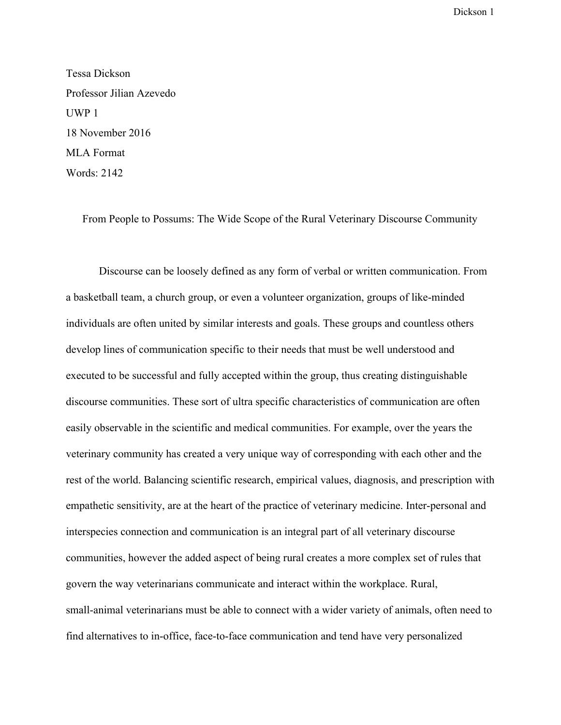Tessa Dickson Professor Jilian Azevedo UWP 1 18 November 2016 MLA Format Words: 2142

From People to Possums: The Wide Scope of the Rural Veterinary Discourse Community

Discourse can be loosely defined as any form of verbal or written communication. From a basketball team, a church group, or even a volunteer organization, groups of like-minded individuals are often united by similar interests and goals. These groups and countless others develop lines of communication specific to their needs that must be well understood and executed to be successful and fully accepted within the group, thus creating distinguishable discourse communities. These sort of ultra specific characteristics of communication are often easily observable in the scientific and medical communities. For example, over the years the veterinary community has created a very unique way of corresponding with each other and the rest of the world. Balancing scientific research, empirical values, diagnosis, and prescription with empathetic sensitivity, are at the heart of the practice of veterinary medicine. Inter-personal and interspecies connection and communication is an integral part of all veterinary discourse communities, however the added aspect of being rural creates a more complex set of rules that govern the way veterinarians communicate and interact within the workplace. Rural, small-animal veterinarians must be able to connect with a wider variety of animals, often need to find alternatives to in-office, face-to-face communication and tend have very personalized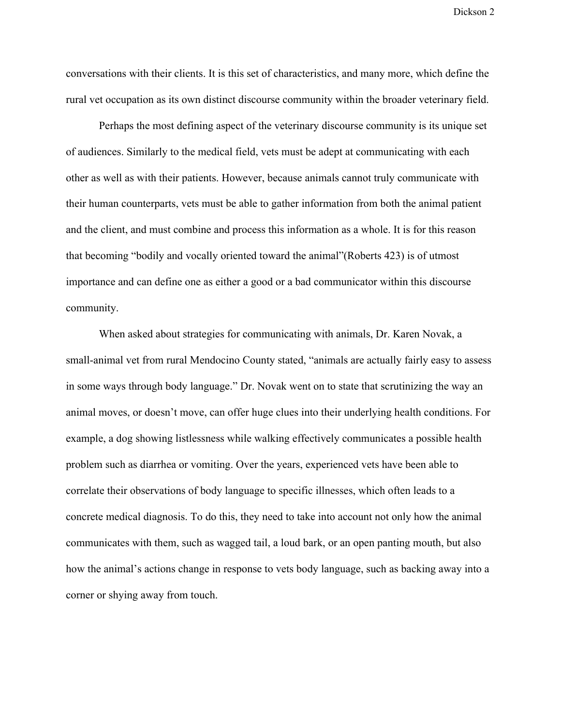conversations with their clients. It is this set of characteristics, and many more, which define the rural vet occupation as its own distinct discourse community within the broader veterinary field.

Perhaps the most defining aspect of the veterinary discourse community is its unique set of audiences. Similarly to the medical field, vets must be adept at communicating with each other as well as with their patients. However, because animals cannot truly communicate with their human counterparts, vets must be able to gather information from both the animal patient and the client, and must combine and process this information as a whole. It is for this reason that becoming "bodily and vocally oriented toward the animal"(Roberts 423) is of utmost importance and can define one as either a good or a bad communicator within this discourse community.

When asked about strategies for communicating with animals, Dr. Karen Novak, a small-animal vet from rural Mendocino County stated, "animals are actually fairly easy to assess in some ways through body language." Dr. Novak went on to state that scrutinizing the way an animal moves, or doesn't move, can offer huge clues into their underlying health conditions. For example, a dog showing listlessness while walking effectively communicates a possible health problem such as diarrhea or vomiting. Over the years, experienced vets have been able to correlate their observations of body language to specific illnesses, which often leads to a concrete medical diagnosis. To do this, they need to take into account not only how the animal communicates with them, such as wagged tail, a loud bark, or an open panting mouth, but also how the animal's actions change in response to vets body language, such as backing away into a corner or shying away from touch.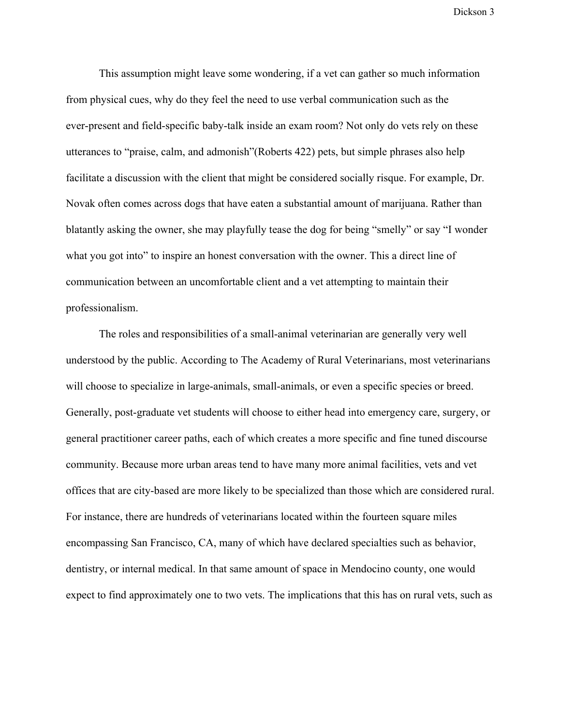This assumption might leave some wondering, if a vet can gather so much information from physical cues, why do they feel the need to use verbal communication such as the ever-present and field-specific baby-talk inside an exam room? Not only do vets rely on these utterances to "praise, calm, and admonish"(Roberts 422) pets, but simple phrases also help facilitate a discussion with the client that might be considered socially risque. For example, Dr. Novak often comes across dogs that have eaten a substantial amount of marijuana. Rather than blatantly asking the owner, she may playfully tease the dog for being "smelly" or say "I wonder what you got into" to inspire an honest conversation with the owner. This a direct line of communication between an uncomfortable client and a vet attempting to maintain their professionalism.

The roles and responsibilities of a small-animal veterinarian are generally very well understood by the public. According to The Academy of Rural Veterinarians, most veterinarians will choose to specialize in large-animals, small-animals, or even a specific species or breed. Generally, post-graduate vet students will choose to either head into emergency care, surgery, or general practitioner career paths, each of which creates a more specific and fine tuned discourse community. Because more urban areas tend to have many more animal facilities, vets and vet offices that are city-based are more likely to be specialized than those which are considered rural. For instance, there are hundreds of veterinarians located within the fourteen square miles encompassing San Francisco, CA, many of which have declared specialties such as behavior, dentistry, or internal medical. In that same amount of space in Mendocino county, one would expect to find approximately one to two vets. The implications that this has on rural vets, such as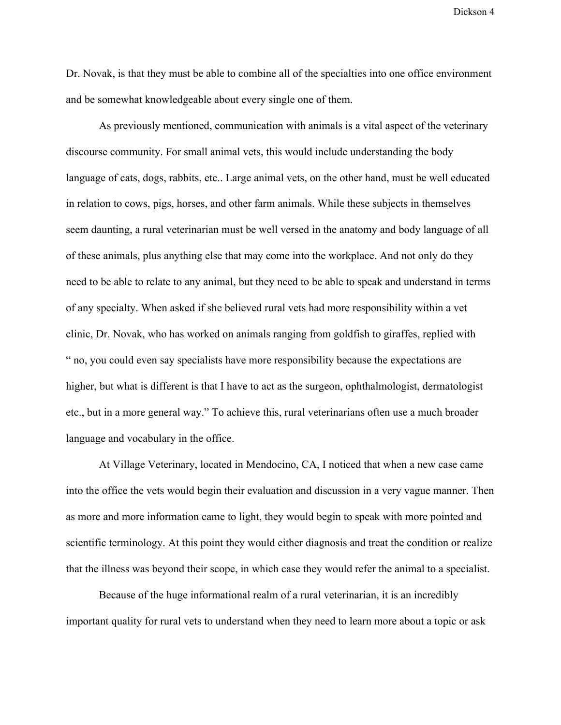Dr. Novak, is that they must be able to combine all of the specialties into one office environment and be somewhat knowledgeable about every single one of them.

As previously mentioned, communication with animals is a vital aspect of the veterinary discourse community. For small animal vets, this would include understanding the body language of cats, dogs, rabbits, etc.. Large animal vets, on the other hand, must be well educated in relation to cows, pigs, horses, and other farm animals. While these subjects in themselves seem daunting, a rural veterinarian must be well versed in the anatomy and body language of all of these animals, plus anything else that may come into the workplace. And not only do they need to be able to relate to any animal, but they need to be able to speak and understand in terms of any specialty. When asked if she believed rural vets had more responsibility within a vet clinic, Dr. Novak, who has worked on animals ranging from goldfish to giraffes, replied with " no, you could even say specialists have more responsibility because the expectations are higher, but what is different is that I have to act as the surgeon, ophthalmologist, dermatologist etc., but in a more general way." To achieve this, rural veterinarians often use a much broader language and vocabulary in the office.

At Village Veterinary, located in Mendocino, CA, I noticed that when a new case came into the office the vets would begin their evaluation and discussion in a very vague manner. Then as more and more information came to light, they would begin to speak with more pointed and scientific terminology. At this point they would either diagnosis and treat the condition or realize that the illness was beyond their scope, in which case they would refer the animal to a specialist.

Because of the huge informational realm of a rural veterinarian, it is an incredibly important quality for rural vets to understand when they need to learn more about a topic or ask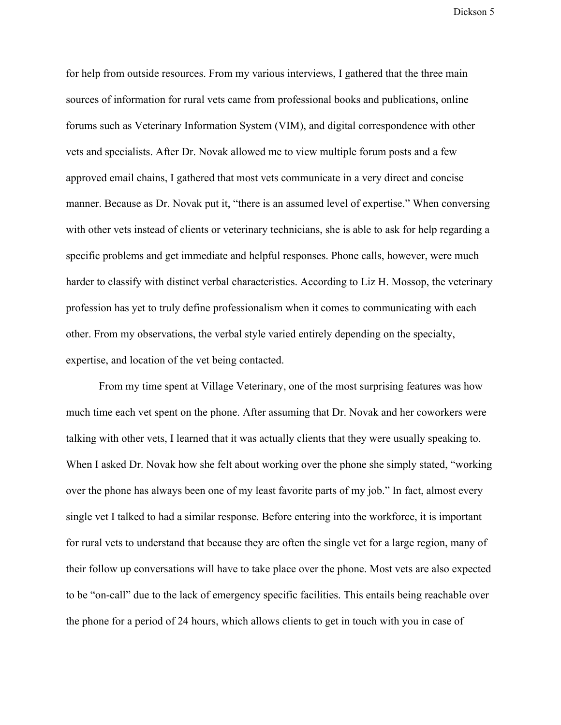for help from outside resources. From my various interviews, I gathered that the three main sources of information for rural vets came from professional books and publications, online forums such as Veterinary Information System (VIM), and digital correspondence with other vets and specialists. After Dr. Novak allowed me to view multiple forum posts and a few approved email chains, I gathered that most vets communicate in a very direct and concise manner. Because as Dr. Novak put it, "there is an assumed level of expertise." When conversing with other vets instead of clients or veterinary technicians, she is able to ask for help regarding a specific problems and get immediate and helpful responses. Phone calls, however, were much harder to classify with distinct verbal characteristics. According to Liz H. Mossop, the veterinary profession has yet to truly define professionalism when it comes to communicating with each other. From my observations, the verbal style varied entirely depending on the specialty, expertise, and location of the vet being contacted.

From my time spent at Village Veterinary, one of the most surprising features was how much time each vet spent on the phone. After assuming that Dr. Novak and her coworkers were talking with other vets, I learned that it was actually clients that they were usually speaking to. When I asked Dr. Novak how she felt about working over the phone she simply stated, "working over the phone has always been one of my least favorite parts of my job." In fact, almost every single vet I talked to had a similar response. Before entering into the workforce, it is important for rural vets to understand that because they are often the single vet for a large region, many of their follow up conversations will have to take place over the phone. Most vets are also expected to be "on-call" due to the lack of emergency specific facilities. This entails being reachable over the phone for a period of 24 hours, which allows clients to get in touch with you in case of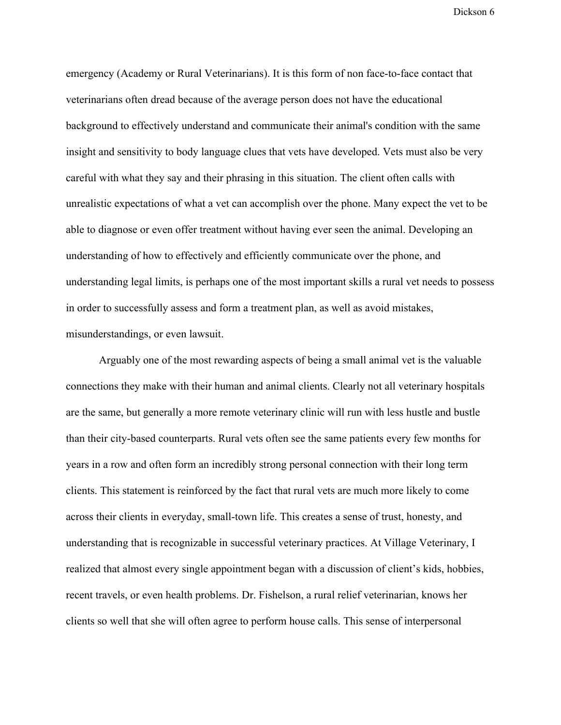emergency (Academy or Rural Veterinarians). It is this form of non face-to-face contact that veterinarians often dread because of the average person does not have the educational background to effectively understand and communicate their animal's condition with the same insight and sensitivity to body language clues that vets have developed. Vets must also be very careful with what they say and their phrasing in this situation. The client often calls with unrealistic expectations of what a vet can accomplish over the phone. Many expect the vet to be able to diagnose or even offer treatment without having ever seen the animal. Developing an understanding of how to effectively and efficiently communicate over the phone, and understanding legal limits, is perhaps one of the most important skills a rural vet needs to possess in order to successfully assess and form a treatment plan, as well as avoid mistakes, misunderstandings, or even lawsuit.

Arguably one of the most rewarding aspects of being a small animal vet is the valuable connections they make with their human and animal clients. Clearly not all veterinary hospitals are the same, but generally a more remote veterinary clinic will run with less hustle and bustle than their city-based counterparts. Rural vets often see the same patients every few months for years in a row and often form an incredibly strong personal connection with their long term clients. This statement is reinforced by the fact that rural vets are much more likely to come across their clients in everyday, small-town life. This creates a sense of trust, honesty, and understanding that is recognizable in successful veterinary practices. At Village Veterinary, I realized that almost every single appointment began with a discussion of client's kids, hobbies, recent travels, or even health problems. Dr. Fishelson, a rural relief veterinarian, knows her clients so well that she will often agree to perform house calls. This sense of interpersonal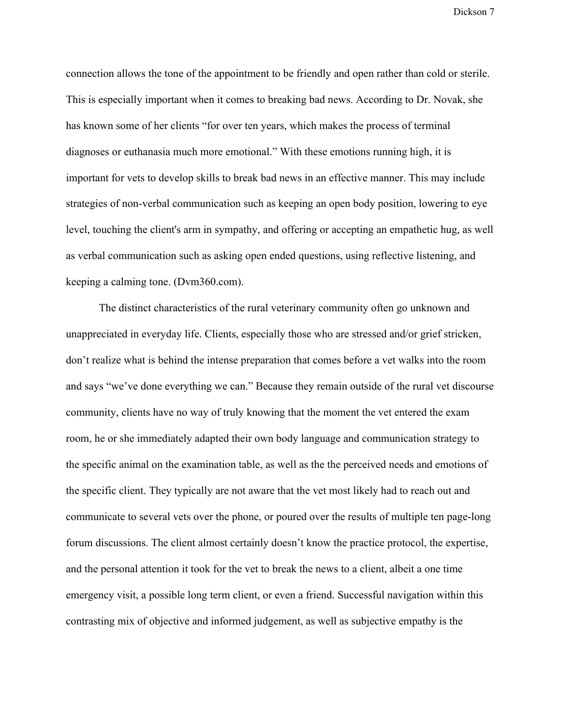connection allows the tone of the appointment to be friendly and open rather than cold or sterile. This is especially important when it comes to breaking bad news. According to Dr. Novak, she has known some of her clients "for over ten years, which makes the process of terminal diagnoses or euthanasia much more emotional." With these emotions running high, it is important for vets to develop skills to break bad news in an effective manner. This may include strategies of non-verbal communication such as keeping an open body position, lowering to eye level, touching the client's arm in sympathy, and offering or accepting an empathetic hug, as well as verbal communication such as asking open ended questions, using reflective listening, and keeping a calming tone. (Dvm360.com).

The distinct characteristics of the rural veterinary community often go unknown and unappreciated in everyday life. Clients, especially those who are stressed and/or grief stricken, don't realize what is behind the intense preparation that comes before a vet walks into the room and says "we've done everything we can." Because they remain outside of the rural vet discourse community, clients have no way of truly knowing that the moment the vet entered the exam room, he or she immediately adapted their own body language and communication strategy to the specific animal on the examination table, as well as the the perceived needs and emotions of the specific client. They typically are not aware that the vet most likely had to reach out and communicate to several vets over the phone, or poured over the results of multiple ten page-long forum discussions. The client almost certainly doesn't know the practice protocol, the expertise, and the personal attention it took for the vet to break the news to a client, albeit a one time emergency visit, a possible long term client, or even a friend. Successful navigation within this contrasting mix of objective and informed judgement, as well as subjective empathy is the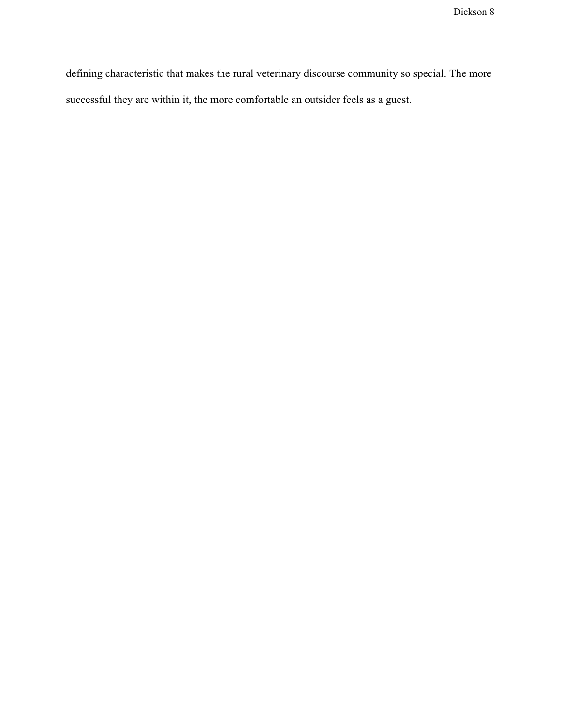defining characteristic that makes the rural veterinary discourse community so special. The more successful they are within it, the more comfortable an outsider feels as a guest.